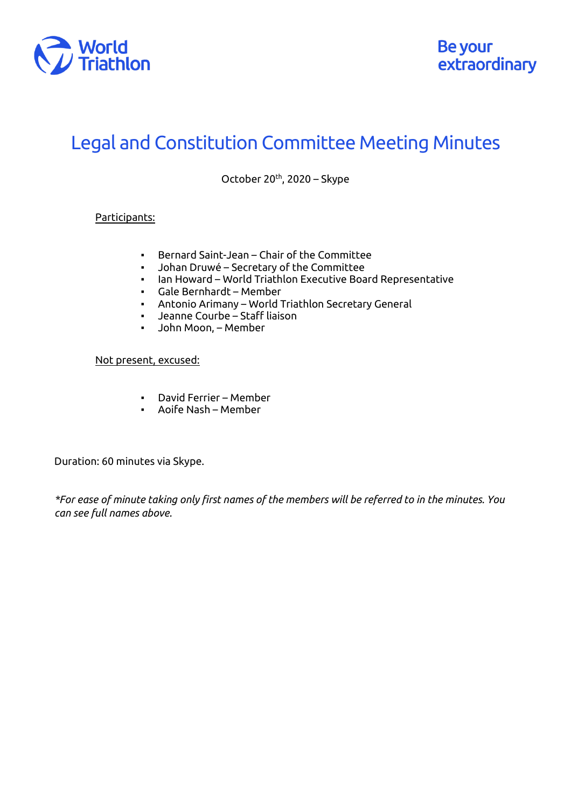

## Legal and Constitution Committee Meeting Minutes

October  $20<sup>th</sup>$ , 2020 – Skype

## Participants:

- Bernard Saint-Jean Chair of the Committee
- Johan Druwé Secretary of the Committee
- Ian Howard World Triathlon Executive Board Representative
- Gale Bernhardt Member
- Antonio Arimany World Triathlon Secretary General
- Jeanne Courbe Staff liaison
- John Moon, Member

## Not present, excused:

- David Ferrier Member
- Aoife Nash Member

Duration: 60 minutes via Skype.

*\*For ease of minute taking only first names of the members will be referred to in the minutes. You can see full names above.*